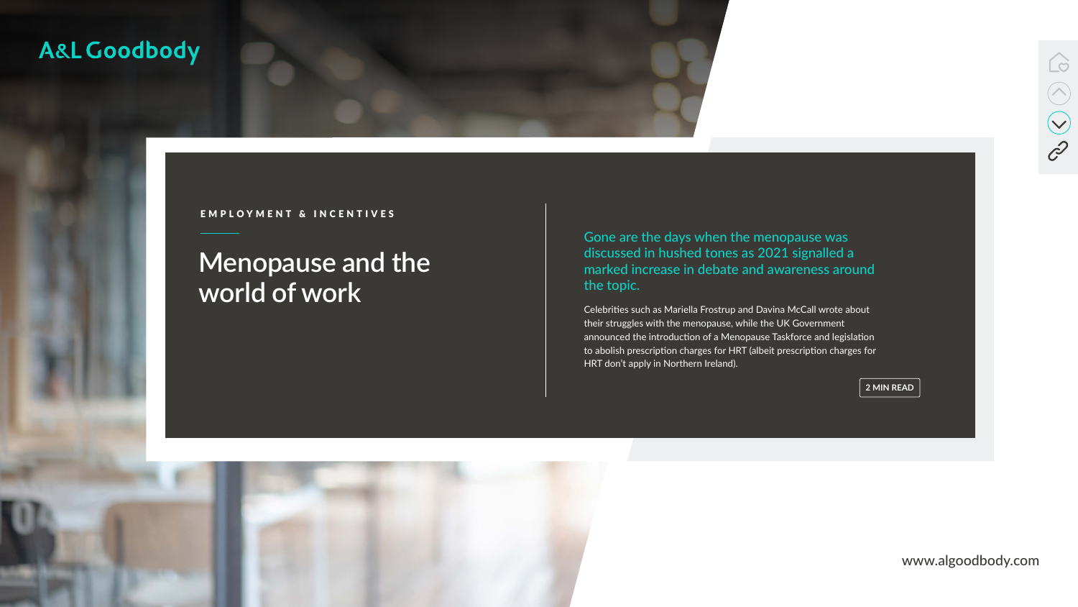[www.algoodbody.com](https://www.algoodbody.com/)



# **Menopause and the world of work**



### A&L Goodbody

#### EMPLOYMENT & INCENTIVES

Gone are the days when the menopause was discussed in hushed tones as 2021 signalled a marked increase in debate and awareness around the topic.

Celebrities such as Mariella Frostrup and Davina McCall wrote about their struggles with the menopause, while the UK Government announced the introduction of a Menopause Taskforce and legislation to abolish prescription charges for HRT (albeit prescription charges for HRT don't apply in Northern Ireland).

**2 MIN READ**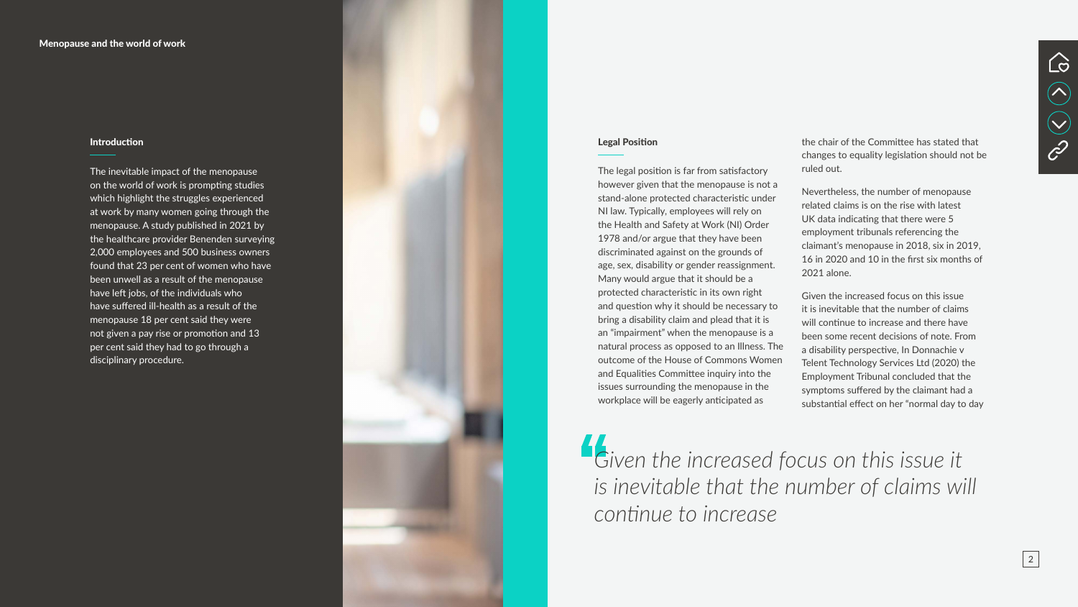#### Legal Position

The legal position is far from satisfactory however given that the menopause is not a stand-alone protected characteristic under NI law. Typically, employees will rely on the Health and Safety at Work (NI) Order 1978 and/or argue that they have been discriminated against on the grounds of age, sex, disability or gender reassignment. Many would argue that it should be a protected characteristic in its own right and question why it should be necessary to bring a disability claim and plead that it is an "impairment" when the menopause is a natural process as opposed to an Illness. The outcome of the House of Commons Women and Equalities Committee inquiry into the issues surrounding the menopause in the workplace will be eagerly anticipated as

the chair of the Committee has stated that changes to equality legislation should not be ruled out.

Nevertheless, the number of menopause related claims is on the rise with latest UK data indicating that there were 5 employment tribunals referencing the claimant's menopause in 2018, six in 2019, 16 in 2020 and 10 in the first six months of 2021 alone.

Given the increased focus on this issue it is inevitable that the number of claims will continue to increase and there have been some recent decisions of note. From a disability perspective, In Donnachie v Telent Technology Services Ltd (2020) the Employment Tribunal concluded that the symptoms suffered by the claimant had a substantial effect on her "normal day to day

#### Introduction

The inevitable impact of the menopause on the world of work is prompting studies which highlight the struggles experienced at work by many women going through the menopause. A study published in 2021 by the healthcare provider Benenden surveying 2,000 employees and 500 business owners found that 23 per cent of women who have been unwell as a result of the menopause have left jobs, of the individuals who have suffered ill-health as a result of the menopause 18 per cent said they were not given a pay rise or promotion and 13 per cent said they had to go through a disciplinary procedure.



*Given the increased focus on this issue it is inevitable that the number of claims will continue to increase*



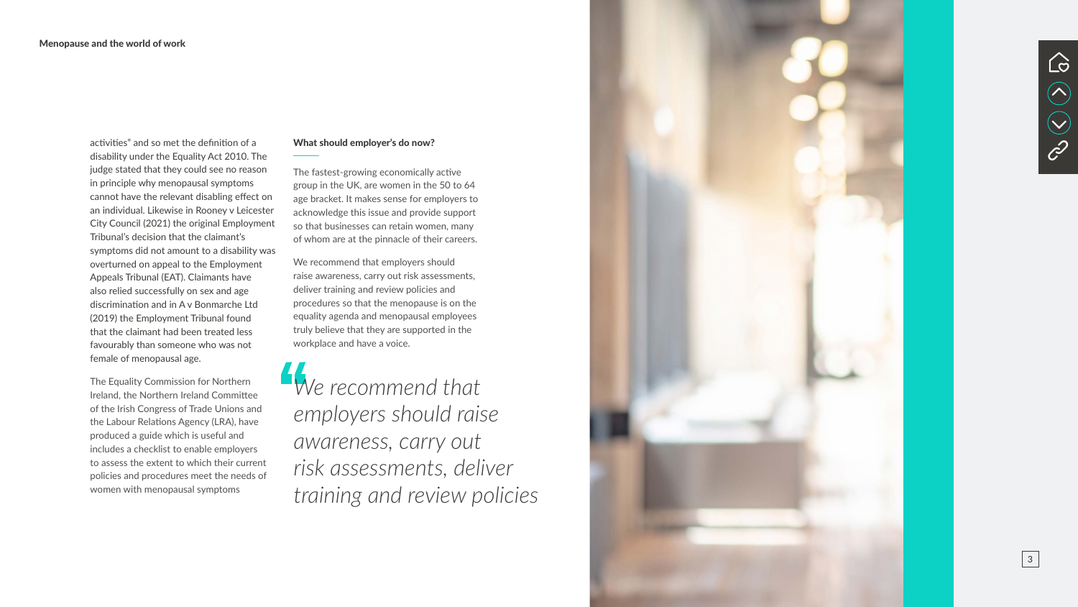activities" and so met the definition of a disability under the Equality Act 2010. The judge stated that they could see no reason in principle why menopausal symptoms cannot have the relevant disabling effect on an individual. Likewise in Rooney v Leicester City Council (2021) the original Employment Tribunal's decision that the claimant's symptoms did not amount to a disability was overturned on appeal to the Employment Appeals Tribunal (EAT). Claimants have also relied successfully on sex and age discrimination and in A v Bonmarche Ltd (2019) the Employment Tribunal found that the claimant had been treated less favourably than someone who was not female of menopausal age.

The Equality Commission for Northern Ireland, the Northern Ireland Committee of the Irish Congress of Trade Unions and the Labour Relations Agency (LRA), have produced a guide which is useful and includes a checklist to enable employers to assess the extent to which their current policies and procedures meet the needs of women with menopausal symptoms

#### What should employer's do now?

The fastest-growing economically active group in the UK, are women in the 50 to 64 age bracket. It makes sense for employers to acknowledge this issue and provide support so that businesses can retain women, many of whom are at the pinnacle of their careers.

We recommend that employers should raise awareness, carry out risk assessments, deliver training and review policies and procedures so that the menopause is on the equality agenda and menopausal employees truly believe that they are supported in the workplace and have a voice.

*We recommend that employers should raise awareness, carry out risk assessments, deliver training and review policies*